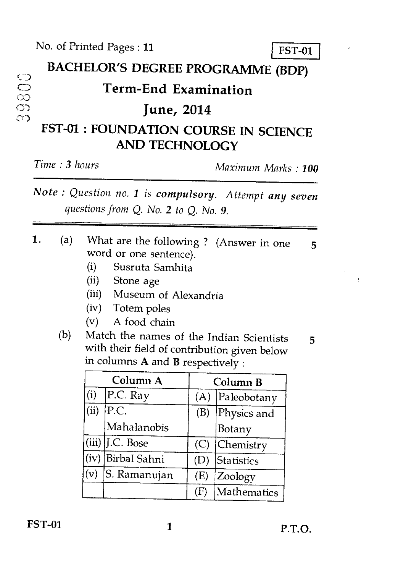# BACHELOR'S DEGREE PROGRAMME (BDP)<br>  $\text{Term-End Examination}$ <br>
June, 2014

### ) **Term-End Examination**

## ) **June, 2014**

#### **FST-01 : FOUNDATION COURSE IN SCIENCE AND TECHNOLOGY**

*Time : 3 hours Maximum Marks : 100* 

*Note : Question no. 1 is compulsory. Attempt any seven questions from Q. No. 2 to Q. No. 9.* 

- **1.** (a) What are the following ? (Answer in one 5 word or one sentence).
	- (i) Susruta Samhita
	- (ii) Stone age
	- (iii) Museum of Alexandria
	- (iv) Totem poles
	- (v) A food chain
	- (b) Match the names of the Indian Scientists  $5$ with their field of contribution given below in columns **A** and **B** respectively :

ţ

| Column A       |                   | Column B |             |
|----------------|-------------------|----------|-------------|
| (i)            | P.C. Ray          | (A)      | Paleobotany |
| (ii)           | P.C.              | (B)      | Physics and |
|                | Mahalanobis       |          | Botany      |
|                | $(iii)$ J.C. Bose | (C)      | Chemistry   |
| (iv)           | Birbal Sahni      | (D)      | Statistics  |
| $(\mathrm{v})$ | S. Ramanujan      | (E)      | Zoology     |
|                |                   | Œ        | Mathematics |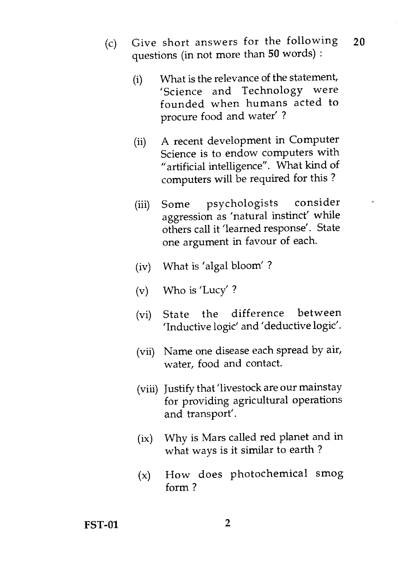- (c) Give short answers for the following questions (in not more than **50** words) : **20** 
	- (i) What is the relevance of the statement, 'Science and Technology were founded when humans acted to procure food and water' ?
	- (ii) A recent development in Computer Science is to endow computers with "artificial intelligence". What kind of computers will be required for this ?
	- (iii) Some psychologists consider aggression as 'natural instinct' while others call it 'learned response'. State one argument in favour of each.
	- (iv) What is 'algal bloom' ?
	- (v) Who is 'Lucy' ?
	- (vi) State the difference between 'Inductive logic' and 'deductive logic'.
	- (vii) Name one disease each spread by air, water, food and contact.
	- (viii) Justify that 'livestock are our mainstay for providing agricultural operations and transport'.
	- (ix) Why is Mars called red planet and in what ways is it similar to earth ?
	- (x) How does photochemical smog form ?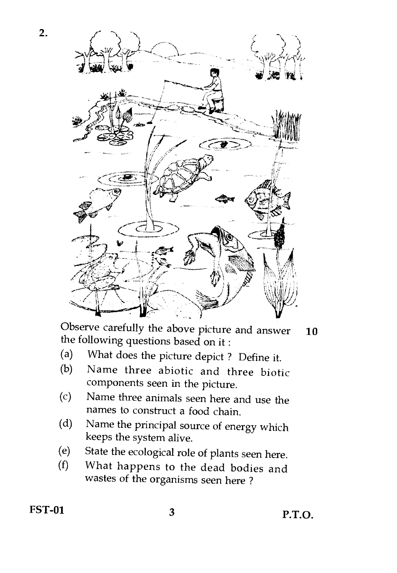

Observe carefully the above picture and answer  $10$ the following questions based on it :

- (a) What does the picture depict ? Define it.
- (b) Name three abiotic and three biotic components seen in the picture.
- (c) Name three animals seen here and use the names to construct a food chain.
- (d) Name the principal source of energy which keeps the system alive.
- (e) State the ecological role of plants seen here.<br>(f) What happens to the dead hodies and
- What happens to the dead bodies and wastes of the organisms seen here ?

2.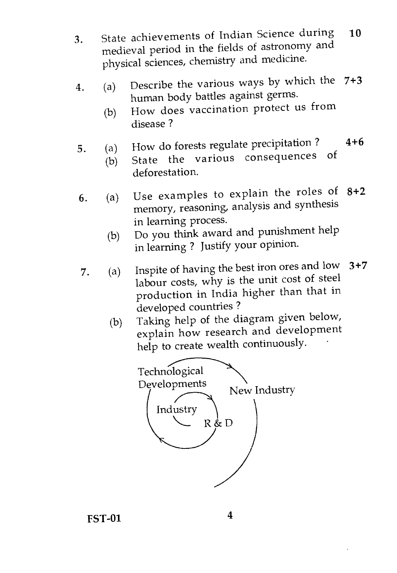- 3. State achievements of Indian Science during medieval period in the fields of astronomy and physical sciences, chemistry and medicine. 10
- 4. (a) Describe the various ways by which the  $7+3$ human body battles against germs.
	- (b) How does vaccination protect us from disease ?
- 5. (a) How do forests regulate precipitation ?  $4+6$ <br>(b) State the various consequences of
	- State the various consequences deforestation.
- 6. (a) Use examples to explain the roles of 8+2 memory, reasoning, analysis and synthesis in learning process.
	- (b) Do you think award and punishment help in learning ? Justify your opinion.
- 7. (a) Inspite of having the best iron ores and low 3+7 labour costs, why is the unit cost of steel production in India higher than that in developed countries ?
	- (b) Taking help of the diagram given below, explain how research and development help to create wealth continuously.



**FST-01** 4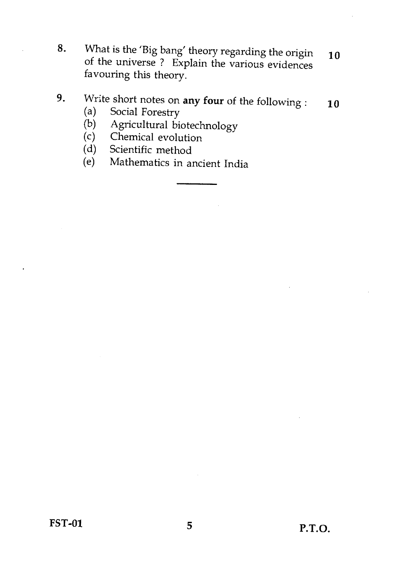**8.** What is the 'Big bang' theory regarding the origin of the universe ? Explain the various evidences favouring this theory. 10

#### **9.** Write short notes on **any four** of the following : (a) Social Forestry 10

- (a) Social Forestry<br>(b) Agricultural bio
- (b) Agricultural biotechnology<br>(c) Chemical evolution
- (c) Chemical evolution<br>(d) Scientific method
- (d) Scientific method<br>(e) Mathematics in a
- Mathematics in ancient India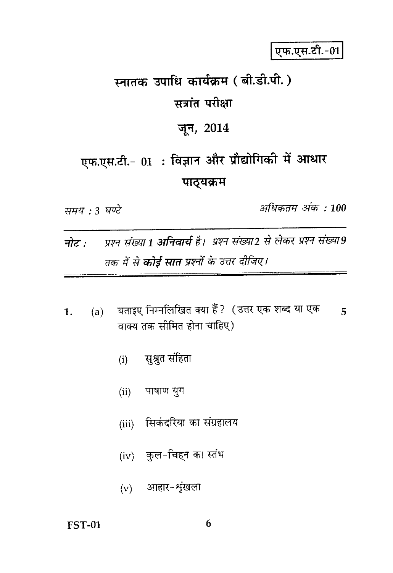एफ.एस.टी.-01

# स्नातक उपाधि कार्यक्रम (बी.डी.पी.) सत्रांत परीक्षा

#### जून, 2014

# एफ.एस.टी.- 01: विज्ञान और प्रौद्योगिकी में आधार पाठ्यक्रम

समय : 3 घण्टे

अधिकतम अंक : 100

- प्रश्न संख्या 1 **अनिवार्य** है। प्रश्न संख्या2 से लेकर प्रश्न संख्या9 नोट : तक में से **कोई सात** प्रश्नों के उत्तर दीजिए।
- (a) विताइए निम्नलिखित क्या हैं ?) (उत्तर एक शब्द या एक  $\overline{5}$  $\mathbf{1}$ . वाक्य तक सीमित होना चाहिए)
	- सुश्रुत संहिता  $(i)$
	- पाषाण युग  $(ii)$
	- (iii) सिकंदरिया का संग्रहालय
	- (iv) कुल-चिहन का स्तंभ
	- $(v)$  आहार-शृंखला

#### **FST-01**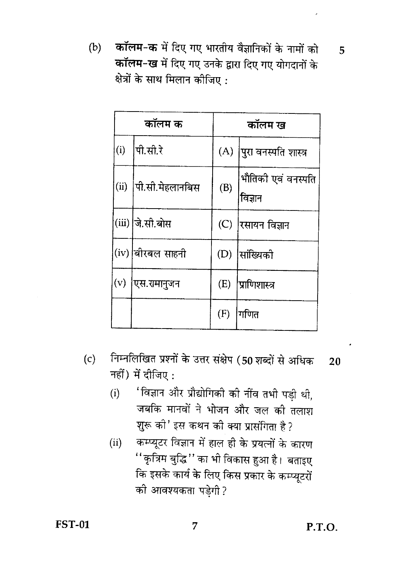कॉलम-क में दिए गए भारतीय वैज्ञानिकों के नामों को  $(b)$ कॉलम-ख में दिए गए उनके द्वारा दिए गए योगदानों के क्षेत्रों के साथ मिलान कीजिए :

| कॉलम क |                  | कॉलम ख |                               |
|--------|------------------|--------|-------------------------------|
| (i)    | पी.सी.रे         | (A)    | पुरा वनस्पति शास्त्र          |
| (ii)   | पी.सी.मेहलानबिस  | (B)    | भौतिकी एवं वनस्पति<br>विज्ञान |
|        | (iii) जे.सी.बोस  | (C)    | रसायन विज्ञान                 |
|        | (iv) बीरबल साहनी | (D)    | सांख्यिकी                     |
| (v)    | एस.रामानुजन      | (E)    | <b> प्राणिशास्त्र</b>         |
|        |                  | (F)    | गणित                          |

- निम्नलिखित प्रश्नों के उत्तर संक्षेप (50 शब्दों से अधिक  $(c)$  $20$ नहीं) में दीजिए:
	- 'विज्ञान और प्रौद्योगिकी की नींव तभी पड़ी थी,  $(i)$ जबकि मानवों ने भोजन और जल की तलाश शुरू की' इस कथन की क्या प्रासंगिता है ?
	- कम्प्यूटर विज्ञान में हाल ही के प्रयत्नों के कारण  $(ii)$ ''कृत्रिम बुद्धि'' का भी विकास हुआ है। बताइए कि इसके कार्य के लिए किस प्रकार के कम्प्यूटरों की आवश्यकता पडेगी ?

7

P.T.O.

5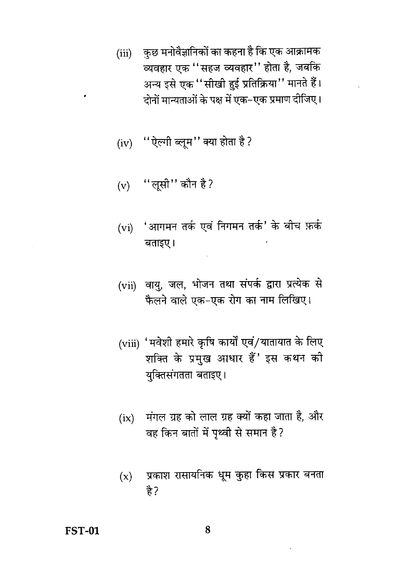- (iii) कुछ मनोवैज्ञानिकों का कहना है कि एक आक्रामक व्यवहार एक ''सहज व्यवहार'' होता है, जबकि अन्य इसे एक ''सीखी हुई प्रतिक्रिया'' मानते हैं। दोनों मान्यताओं के पक्ष में एक-एक प्रमाण दीजिए।
- (iv) "ऐल्गी ब्लूम" क्या होता है?
- (v) "लूसी" कौन है?
- 'आगमन तर्क एवं निगमन तर्क' के बीच फ़र्क  $(vi)$ बताइए।
- (vii) वायु, जल, भोजन तथा संपर्क द्वारा प्रत्येक से फैलने वाले एक-एक रोग का नाम लिखिए।
- (viii) 'मवेशी हमारे कृषि कार्यों एवं/यातायात के लिए शक्ति के प्रमुख आधार हैं' इस कथन की यक्तिसंगतता बताइए।
- (ix) मंगल ग्रह को लाल ग्रह क्यों कहा जाता है, और वह किन बातों में पथ्वी से समान है?
- प्रकाश रासायनिक धुम कुहा किस प्रकार बनता  $(x)$ है?

8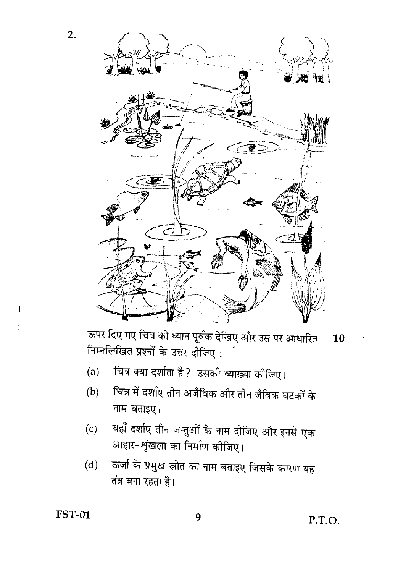

ऊपर दिए गए चित्र को ध्यान पूर्वक देखिए और उस पर आधारित 10 निम्नलिखित प्रश्नों के उत्तर दीजिए:

- चित्र क्या दर्शाता है? उसकी व्याख्या कीजिए।  $(a)$
- चित्र में दर्शाए तीन अजैविक और तीन जैविक घटकों के  $(b)$ नाम बताइए।
- यहाँ दर्शाए तीन जन्तुओं के नाम दीजिए और इनसे एक  $(c)$ आहार-शृंखला का निर्माण कीजिए।
- ऊर्जा के प्रमुख स्रोत का नाम बताइए जिसके कारण यह  $(d)$ तंत्र बना रहता है।

**FST-01** 

 $\frac{1}{2}$ 

 $2.$ 

9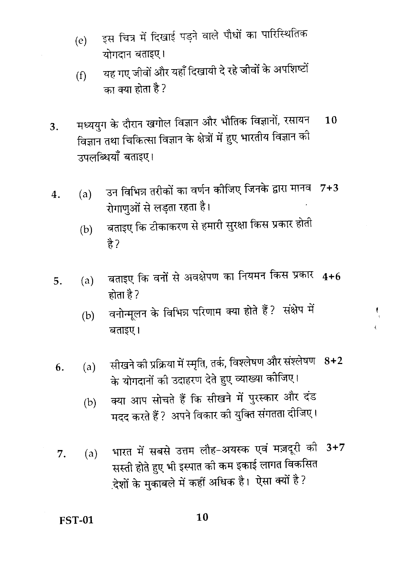- इस चित्र में दिखाई पड़ने वाले पौधों का पारिस्थितिक  $(e)$ योगदान बताइए।
- यह गए जीवों और यहाँ दिखायी दे रहे जीवों के अपशिष्टों  $(f)$ का क्या होता है ?
- मध्ययुग के दौरान खगोल विज्ञान और भौतिक विज्ञानों, रसायन  $10$ 3. विज्ञान तथा चिकित्सा विज्ञान के क्षेत्रों में हुए भारतीय विज्ञान को उपलब्धियाँ बताइए।
- उन विभिन्न तरीकों का वर्णन कोजिए जिनके द्वारा मानव 7+3  $(a)$ 4. रोगाणुओं से लड़ता रहता है।
	- बताइए कि टीकाकरण से हमारी सुरक्षा किस प्रकार होती  $(b)$ है?
- बताइए कि वनों से अवक्षेपण का नियमन किस प्रकार 4+6  $(a)$ 5. होता है ?
	- वनोन्मूलन के विभिन्न परिणाम क्या होते हैं ? संक्षेप में  $(b)$ बताइए।

Ċ

- सीखने की प्रक्रिया में स्मृति, तर्क, विश्लेषण और संश्लेषण 8+2  $(a)$ 6. के योगदानों की उदाहरण देते हुए व्याख्या कोजिए।
	- क्या आप सोचते हैं कि सीखने में पुरस्कार और दंड  $(b)$ मदद करते हैं ? अपने विकार की युक्ति संगतता दीजिए।
- भारत में सबसे उत्तम लौह-अयस्क एवं मज़दूरी की 3+7 7.  $(a)$ सस्ती होते हुए भी इस्पात की कम इकाई लागत विकसित देशों के मुकाबले में कहीं अधिक है। ऐसा क्यों है ?